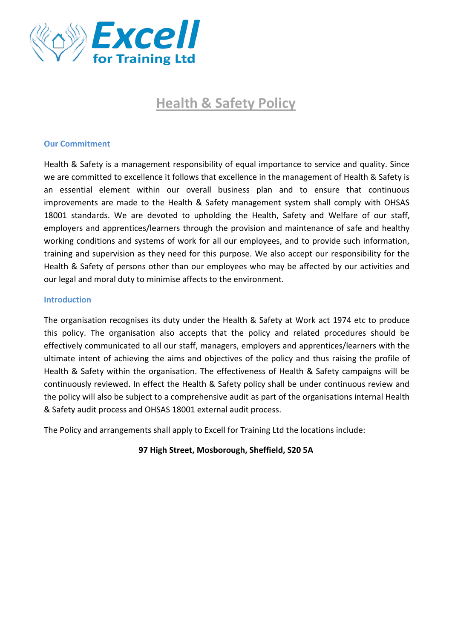

# **Health & Safety Policy**

### **Our Commitment**

Health & Safety is a management responsibility of equal importance to service and quality. Since we are committed to excellence it follows that excellence in the management of Health & Safety is an essential element within our overall business plan and to ensure that continuous improvements are made to the Health & Safety management system shall comply with OHSAS 18001 standards. We are devoted to upholding the Health, Safety and Welfare of our staff, employers and apprentices/learners through the provision and maintenance of safe and healthy working conditions and systems of work for all our employees, and to provide such information, training and supervision as they need for this purpose. We also accept our responsibility for the Health & Safety of persons other than our employees who may be affected by our activities and our legal and moral duty to minimise affects to the environment.

#### **Introduction**

The organisation recognises its duty under the Health & Safety at Work act 1974 etc to produce this policy. The organisation also accepts that the policy and related procedures should be effectively communicated to all our staff, managers, employers and apprentices/learners with the ultimate intent of achieving the aims and objectives of the policy and thus raising the profile of Health & Safety within the organisation. The effectiveness of Health & Safety campaigns will be continuously reviewed. In effect the Health & Safety policy shall be under continuous review and the policy will also be subject to a comprehensive audit as part of the organisations internal Health & Safety audit process and OHSAS 18001 external audit process.

The Policy and arrangements shall apply to Excell for Training Ltd the locations include:

#### **97 High Street, Mosborough, Sheffield, S20 5A**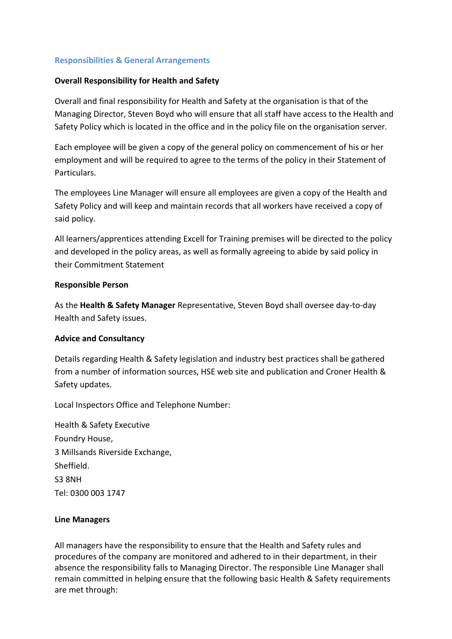# **Responsibilities & General Arrangements**

### **Overall Responsibility for Health and Safety**

Overall and final responsibility for Health and Safety at the organisation is that of the Managing Director, Steven Boyd who will ensure that all staff have access to the Health and Safety Policy which is located in the office and in the policy file on the organisation server.

Each employee will be given a copy of the general policy on commencement of his or her employment and will be required to agree to the terms of the policy in their Statement of Particulars.

The employees Line Manager will ensure all employees are given a copy of the Health and Safety Policy and will keep and maintain records that all workers have received a copy of said policy.

All learners/apprentices attending Excell for Training premises will be directed to the policy and developed in the policy areas, as well as formally agreeing to abide by said policy in their Commitment Statement

#### **Responsible Person**

As the **Health & Safety Manager** Representative, Steven Boyd shall oversee day-to-day Health and Safety issues.

#### **Advice and Consultancy**

Details regarding Health & Safety legislation and industry best practices shall be gathered from a number of information sources, HSE web site and publication and Croner Health & Safety updates.

Local Inspectors Office and Telephone Number:

Health & Safety Executive Foundry House, 3 Millsands Riverside Exchange, Sheffield. S3 8NH Tel: 0300 003 1747

#### **Line Managers**

All managers have the responsibility to ensure that the Health and Safety rules and procedures of the company are monitored and adhered to in their department, in their absence the responsibility falls to Managing Director. The responsible Line Manager shall remain committed in helping ensure that the following basic Health & Safety requirements are met through: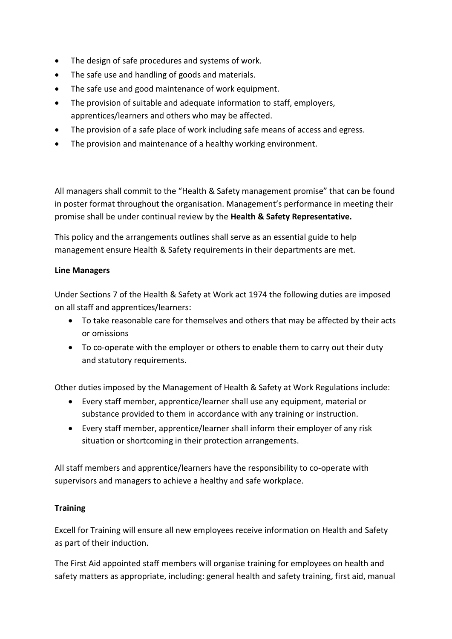- The design of safe procedures and systems of work.
- The safe use and handling of goods and materials.
- The safe use and good maintenance of work equipment.
- The provision of suitable and adequate information to staff, employers, apprentices/learners and others who may be affected.
- The provision of a safe place of work including safe means of access and egress.
- The provision and maintenance of a healthy working environment.

All managers shall commit to the "Health & Safety management promise" that can be found in poster format throughout the organisation. Management's performance in meeting their promise shall be under continual review by the **Health & Safety Representative.**

This policy and the arrangements outlines shall serve as an essential guide to help management ensure Health & Safety requirements in their departments are met.

# **Line Managers**

Under Sections 7 of the Health & Safety at Work act 1974 the following duties are imposed on all staff and apprentices/learners:

- To take reasonable care for themselves and others that may be affected by their acts or omissions
- To co-operate with the employer or others to enable them to carry out their duty and statutory requirements.

Other duties imposed by the Management of Health & Safety at Work Regulations include:

- Every staff member, apprentice/learner shall use any equipment, material or substance provided to them in accordance with any training or instruction.
- Every staff member, apprentice/learner shall inform their employer of any risk situation or shortcoming in their protection arrangements.

All staff members and apprentice/learners have the responsibility to co-operate with supervisors and managers to achieve a healthy and safe workplace.

# **Training**

Excell for Training will ensure all new employees receive information on Health and Safety as part of their induction.

The First Aid appointed staff members will organise training for employees on health and safety matters as appropriate, including: general health and safety training, first aid, manual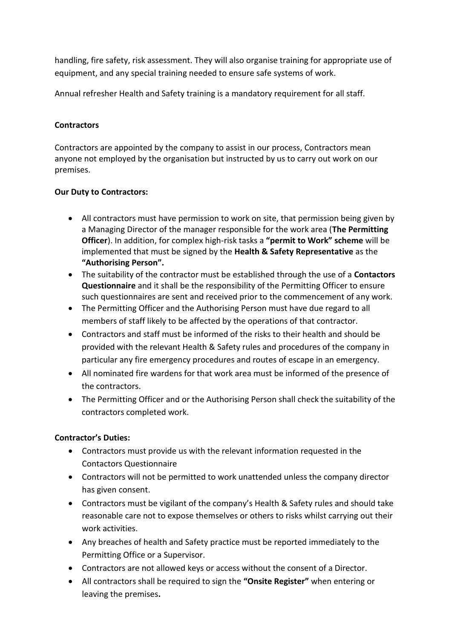handling, fire safety, risk assessment. They will also organise training for appropriate use of equipment, and any special training needed to ensure safe systems of work.

Annual refresher Health and Safety training is a mandatory requirement for all staff.

# **Contractors**

Contractors are appointed by the company to assist in our process, Contractors mean anyone not employed by the organisation but instructed by us to carry out work on our premises.

# **Our Duty to Contractors:**

- All contractors must have permission to work on site, that permission being given by a Managing Director of the manager responsible for the work area (**The Permitting Officer**). In addition, for complex high-risk tasks a **"permit to Work" scheme** will be implemented that must be signed by the **Health & Safety Representative** as the **"Authorising Person".**
- The suitability of the contractor must be established through the use of a **Contactors Questionnaire** and it shall be the responsibility of the Permitting Officer to ensure such questionnaires are sent and received prior to the commencement of any work.
- The Permitting Officer and the Authorising Person must have due regard to all members of staff likely to be affected by the operations of that contractor.
- Contractors and staff must be informed of the risks to their health and should be provided with the relevant Health & Safety rules and procedures of the company in particular any fire emergency procedures and routes of escape in an emergency.
- All nominated fire wardens for that work area must be informed of the presence of the contractors.
- The Permitting Officer and or the Authorising Person shall check the suitability of the contractors completed work.

# **Contractor's Duties:**

- Contractors must provide us with the relevant information requested in the Contactors Questionnaire
- Contractors will not be permitted to work unattended unless the company director has given consent.
- Contractors must be vigilant of the company's Health & Safety rules and should take reasonable care not to expose themselves or others to risks whilst carrying out their work activities.
- Any breaches of health and Safety practice must be reported immediately to the Permitting Office or a Supervisor.
- Contractors are not allowed keys or access without the consent of a Director.
- All contractors shall be required to sign the **"Onsite Register"** when entering or leaving the premises**.**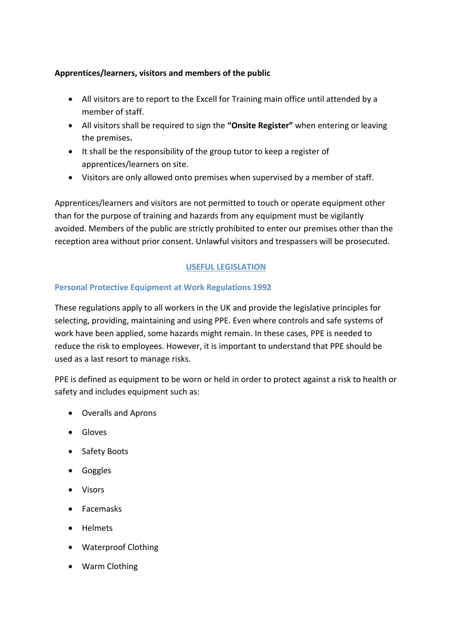# **Apprentices/learners, visitors and members of the public**

- All visitors are to report to the Excell for Training main office until attended by a member of staff.
- All visitors shall be required to sign the **"Onsite Register"** when entering or leaving the premises**.**
- It shall be the responsibility of the group tutor to keep a register of apprentices/learners on site.
- Visitors are only allowed onto premises when supervised by a member of staff.

Apprentices/learners and visitors are not permitted to touch or operate equipment other than for the purpose of training and hazards from any equipment must be vigilantly avoided. Members of the public are strictly prohibited to enter our premises other than the reception area without prior consent. Unlawful visitors and trespassers will be prosecuted.

# **USEFUL LEGISLATION**

# **Personal Protective Equipment at Work Regulations 1992**

These regulations apply to all workers in the UK and provide the legislative principles for selecting, providing, maintaining and using PPE. Even where controls and safe systems of work have been applied, some hazards might remain. In these cases, PPE is needed to reduce the risk to employees. However, it is important to understand that PPE should be used as a last resort to manage risks.

PPE is defined as equipment to be worn or held in order to protect against a risk to health or safety and includes equipment such as:

- Overalls and Aprons
- Gloves
- Safety Boots
- Goggles
- Visors
- Facemasks
- Helmets
- Waterproof Clothing
- Warm Clothing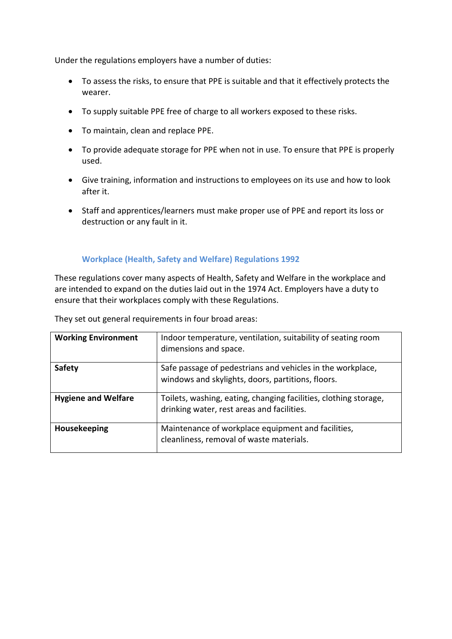Under the regulations employers have a number of duties:

- To assess the risks, to ensure that PPE is suitable and that it effectively protects the wearer.
- To supply suitable PPE free of charge to all workers exposed to these risks.
- To maintain, clean and replace PPE.
- To provide adequate storage for PPE when not in use. To ensure that PPE is properly used.
- Give training, information and instructions to employees on its use and how to look after it.
- Staff and apprentices/learners must make proper use of PPE and report its loss or destruction or any fault in it.

# **Workplace (Health, Safety and Welfare) Regulations 1992**

These regulations cover many aspects of Health, Safety and Welfare in the workplace and are intended to expand on the duties laid out in the 1974 Act. Employers have a duty to ensure that their workplaces comply with these Regulations.

| <b>Working Environment</b> | Indoor temperature, ventilation, suitability of seating room<br>dimensions and space.                           |
|----------------------------|-----------------------------------------------------------------------------------------------------------------|
| <b>Safety</b>              | Safe passage of pedestrians and vehicles in the workplace,<br>windows and skylights, doors, partitions, floors. |
| <b>Hygiene and Welfare</b> | Toilets, washing, eating, changing facilities, clothing storage,<br>drinking water, rest areas and facilities.  |
| Housekeeping               | Maintenance of workplace equipment and facilities,<br>cleanliness, removal of waste materials.                  |

They set out general requirements in four broad areas: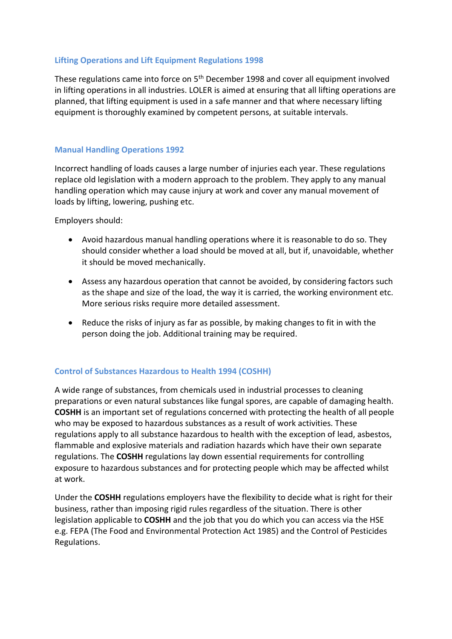# **Lifting Operations and Lift Equipment Regulations 1998**

These regulations came into force on 5<sup>th</sup> December 1998 and cover all equipment involved in lifting operations in all industries. LOLER is aimed at ensuring that all lifting operations are planned, that lifting equipment is used in a safe manner and that where necessary lifting equipment is thoroughly examined by competent persons, at suitable intervals.

### **Manual Handling Operations 1992**

Incorrect handling of loads causes a large number of injuries each year. These regulations replace old legislation with a modern approach to the problem. They apply to any manual handling operation which may cause injury at work and cover any manual movement of loads by lifting, lowering, pushing etc.

Employers should:

- Avoid hazardous manual handling operations where it is reasonable to do so. They should consider whether a load should be moved at all, but if, unavoidable, whether it should be moved mechanically.
- Assess any hazardous operation that cannot be avoided, by considering factors such as the shape and size of the load, the way it is carried, the working environment etc. More serious risks require more detailed assessment.
- Reduce the risks of injury as far as possible, by making changes to fit in with the person doing the job. Additional training may be required.

# **Control of Substances Hazardous to Health 1994 (COSHH)**

A wide range of substances, from chemicals used in industrial processes to cleaning preparations or even natural substances like fungal spores, are capable of damaging health. **COSHH** is an important set of regulations concerned with protecting the health of all people who may be exposed to hazardous substances as a result of work activities. These regulations apply to all substance hazardous to health with the exception of lead, asbestos, flammable and explosive materials and radiation hazards which have their own separate regulations. The **COSHH** regulations lay down essential requirements for controlling exposure to hazardous substances and for protecting people which may be affected whilst at work.

Under the **COSHH** regulations employers have the flexibility to decide what is right for their business, rather than imposing rigid rules regardless of the situation. There is other legislation applicable to **COSHH** and the job that you do which you can access via the HSE e.g. FEPA (The Food and Environmental Protection Act 1985) and the Control of Pesticides Regulations.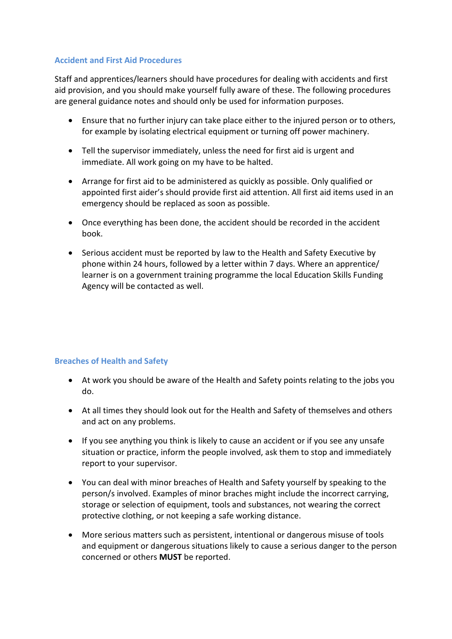# **Accident and First Aid Procedures**

Staff and apprentices/learners should have procedures for dealing with accidents and first aid provision, and you should make yourself fully aware of these. The following procedures are general guidance notes and should only be used for information purposes.

- Ensure that no further injury can take place either to the injured person or to others, for example by isolating electrical equipment or turning off power machinery.
- Tell the supervisor immediately, unless the need for first aid is urgent and immediate. All work going on my have to be halted.
- Arrange for first aid to be administered as quickly as possible. Only qualified or appointed first aider's should provide first aid attention. All first aid items used in an emergency should be replaced as soon as possible.
- Once everything has been done, the accident should be recorded in the accident book.
- Serious accident must be reported by law to the Health and Safety Executive by phone within 24 hours, followed by a letter within 7 days. Where an apprentice/ learner is on a government training programme the local Education Skills Funding Agency will be contacted as well.

#### **Breaches of Health and Safety**

- At work you should be aware of the Health and Safety points relating to the jobs you do.
- At all times they should look out for the Health and Safety of themselves and others and act on any problems.
- If you see anything you think is likely to cause an accident or if you see any unsafe situation or practice, inform the people involved, ask them to stop and immediately report to your supervisor.
- You can deal with minor breaches of Health and Safety yourself by speaking to the person/s involved. Examples of minor braches might include the incorrect carrying, storage or selection of equipment, tools and substances, not wearing the correct protective clothing, or not keeping a safe working distance.
- More serious matters such as persistent, intentional or dangerous misuse of tools and equipment or dangerous situations likely to cause a serious danger to the person concerned or others **MUST** be reported.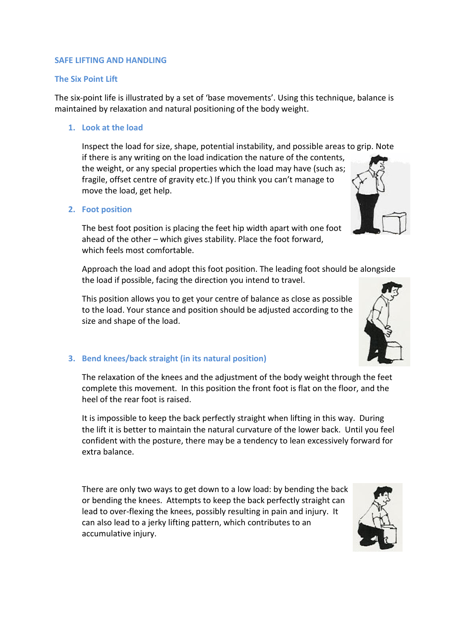#### **SAFE LIFTING AND HANDLING**

## **The Six Point Lift**

The six-point life is illustrated by a set of 'base movements'. Using this technique, balance is maintained by relaxation and natural positioning of the body weight.

**1. Look at the load**

Inspect the load for size, shape, potential instability, and possible areas to grip. Note if there is any writing on the load indication the nature of the contents, the weight, or any special properties which the load may have (such as; fragile, offset centre of gravity etc.) If you think you can't manage to move the load, get help.

**2. Foot position**

The best foot position is placing the feet hip width apart with one foot ahead of the other – which gives stability. Place the foot forward, which feels most comfortable.

Approach the load and adopt this foot position. The leading foot should be alongside the load if possible, facing the direction you intend to travel.

This position allows you to get your centre of balance as close as possible to the load. Your stance and position should be adjusted according to the size and shape of the load.

# **3. Bend knees/back straight (in its natural position)**

The relaxation of the knees and the adjustment of the body weight through the feet complete this movement. In this position the front foot is flat on the floor, and the heel of the rear foot is raised.

It is impossible to keep the back perfectly straight when lifting in this way. During the lift it is better to maintain the natural curvature of the lower back. Until you feel confident with the posture, there may be a tendency to lean excessively forward for extra balance.

There are only two ways to get down to a low load: by bending the back or bending the knees. Attempts to keep the back perfectly straight can lead to over-flexing the knees, possibly resulting in pain and injury. It can also lead to a jerky lifting pattern, which contributes to an accumulative injury.





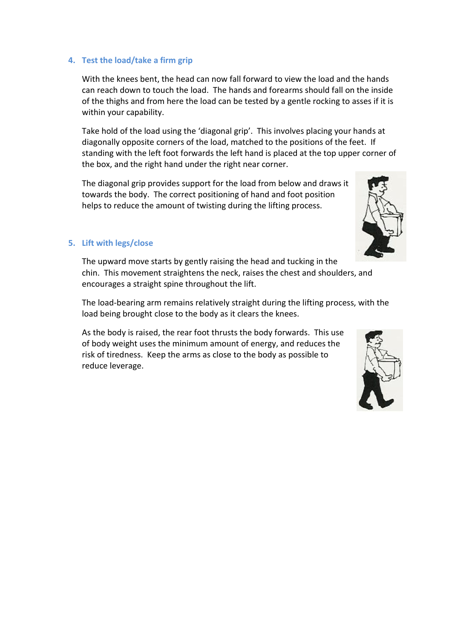# **4. Test the load/take a firm grip**

With the knees bent, the head can now fall forward to view the load and the hands can reach down to touch the load. The hands and forearms should fall on the inside of the thighs and from here the load can be tested by a gentle rocking to asses if it is within your capability.

Take hold of the load using the 'diagonal grip'. This involves placing your hands at diagonally opposite corners of the load, matched to the positions of the feet. If standing with the left foot forwards the left hand is placed at the top upper corner of the box, and the right hand under the right near corner.

The diagonal grip provides support for the load from below and draws it towards the body. The correct positioning of hand and foot position helps to reduce the amount of twisting during the lifting process.

#### **5. Lift with legs/close**

The upward move starts by gently raising the head and tucking in the chin. This movement straightens the neck, raises the chest and shoulders, and encourages a straight spine throughout the lift.

The load-bearing arm remains relatively straight during the lifting process, with the load being brought close to the body as it clears the knees.

As the body is raised, the rear foot thrusts the body forwards. This use of body weight uses the minimum amount of energy, and reduces the risk of tiredness. Keep the arms as close to the body as possible to reduce leverage.